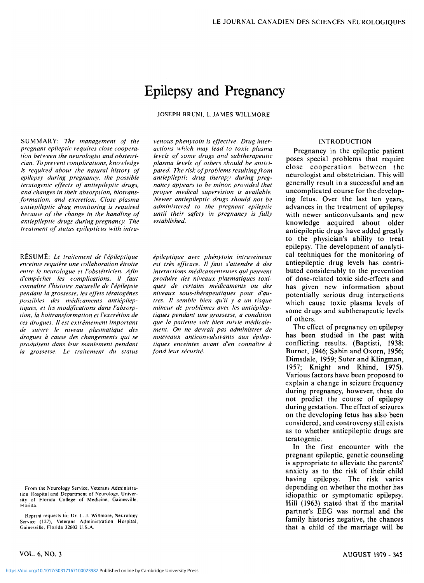# Epilepsy and Pregnancy

JOSEPH **BRUNI,** L.JAMES WILLMORE

SUMMARY: *The management of the pregnant epileptic requires close cooperation between the neurologist and obstetrician. To prevent complications, knowledge is required about the natural history of epilepsy during pregnancy, the possible teratogenic effects of antiepileptic drugs, and changes in their absorption, biotransformation, and excretion. Close plasma antiepileptic drug monitoring is required because of the change in the handling of antiepileptic drugs during pregnancy. The treatment of status epilepticus with intra-*

RESUME: *Le traitement de I'epileptique enceinte requiere une collaboration etroite entre le neurologue et I'obstetricien. A fin d'empecher les complications, il faut connaitre I'histoire naturelle de I'epilepsie pendant la grossesse, les effets teratogenes possibles des medicaments antiepileptiques, et les modifications dans /'absorption, la boitransformation et I'excretion de ces drogues. II est extremement important de suivre le niveau plasmatique des drogues a cause des changements qui se produisent dans leur maniement pendant la grossesse. Le traitement du status*  *venous phenytoin is effective. Drug interactions which may lead to toxic plasma levels of some drugs and subtherapeutic plasma levels of others should be anticipated. The risk of problems resulting from antiepileptic drug therapy during pregnancy appears to be minor, provided that proper medical supervision is available. Newer antiepileptic drugs should not be administered to the pregnant epileptic until their safety in pregnancy is fully established.* 

*epileptique avec phenytoin intraveineux est tres efficace. II faut s'attendre a des interactions medicamenteuses qui peuvent produire des niveaux plasmatiques toxiques de certains medicaments ou des niveaux sous-therapeutiques pour d'qutres. II semble bien qu'il y a un risque mineur de problemes avec les antiepileptiques pendant une grossesse, a condition que la patiente soit bien suivie medicalement. On ne devrait pas administrer de nouveaux anticonvulsivants aux epileptiques enceintes avant d'en connaitre a fond leur securite.* 

INTRODUCTION

Pregnancy in the epileptic patient poses special problems that require close cooperation between the neurologist and obstetrician. This will generally result in a successful and an uncomplicated course for the developing fetus. Over the last ten years, advances in the treatment of epilepsy with newer anticonvulsants and new knowledge acquired about older antiepileptic drugs have added greatly to the physician's ability to treat epilepsy. The development of analytical techniques for the monitoring of antiepileptic drug levels has contributed considerably to the prevention of dose-related toxic side-effects and has given new information about potentially serious drug interactions which cause toxic plasma levels of some drugs and subtherapeutic levels of others.

The effect of pregnancy on epilepsy has been studied in the past with conflicting results. (Baptisti, 1938; Burnet, 1946; Sabin and Oxorn, 1956; Dimsdale, 1959; Suter and Klingman, 1957; Knight and Rhind, 1975). Various factors have been proposed to explain a change in seizure frequency during pregnancy, however, these do not predict the course of epilepsy during gestation. The effect of seizures on the developing fetus has also been considered, and controversy still exists as to whether antiepileptic drugs are teratogenic.

In the first encounter with the pregnant epileptic, genetic counseling is appropriate to alleviate the parents' anxiety as to the risk of their child having epilepsy. The risk varies depending on whether the mother has idiopathic or symptomatic epilepsy. Hill (1963) stated that if the marital partner's EEG was normal and the family histories negative, the chances that a child of the marriage will be

From the Neurology Service. Veterans Administration Hospital and Department of Neurology. University of Florida College of Medicine. Gainesville. Florida.

Reprint requests to: Dr. L. J. Willmore, Neurology Service (127), Veterans Administration Hospital, Gainesville, Florida 32602 U.S.A.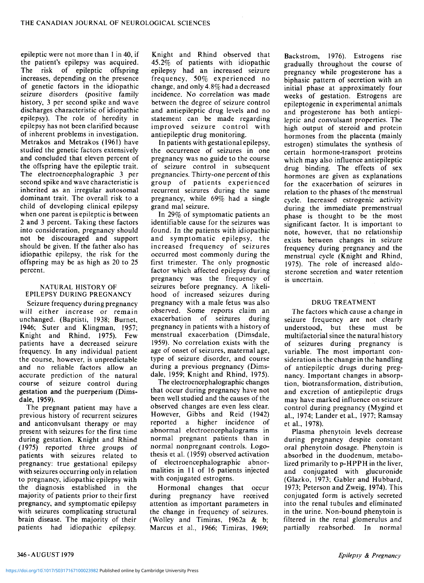epileptic were not more than 1 in 40, if the patient's epilepsy was acquired. The risk of epileptic offspring increases, depending on the presence of genetic factors in the idiopathic seizure disorders (positive family history, 3 per second spike and wave discharges characteristic of idiopathic epilepsy). The role of heredity in epilepsy has not been clarified because of inherent problems in investigation. Metrakos and Metrakos (1961) have studied the genetic factors extensively and concluded that eleven percent of the offspring have the epileptic trait. The electroencephalographic 3 per second spike and wave characteristic is inherited as an irregular autosomal dominant trait. The overall risk to a child of developing clinical epilepsy when one parent is epileptic is between 2 and 3 percent. Taking these factors into consideration, pregnancy should not be discouraged and support should be given. If the father also has idiopathic epilepsy, the risk for the offspring may be as high as 20 to 25 percent.

## NATURAL HISTORY OF EPILEPSY DURING PREGNANCY

Seizure frequency during pregnancy will either increase or remain unchanged. (Baptisti, 1938; Burnet, 1946; Suter and Klingman, 1957; Knight and Rhind, 1975). Few patients have a decreased seizure frequency. In any individual patient the course, however, is unpredictable and no reliable factors allow an accurate prediction of the natural course of seizure control during gestation and the puerperium (Dimsdale, 1959).

The pregnant patient may have a previous history of recurrent seizures and anticonvulsant therapy or may present with seizures for the first time during gestation. Knight and Rhind (1975) reported three groups of patients with seizures related to pregnancy: true gestational epilepsy with seizures occurring only in relation to pregnancy, idiopathic epilepsy with the diagnosis established in the majority of patients prior to their first pregnancy, and symptomatic epilepsy with seizures complicating structural brain disease. The majority of their patients had idiopathic epilepsy.

Knight and Rhind observed that 45.2% of patients with idiopathic epilepsy had an increased seizure frequency, 50% experienced no change, and only 4.8% had a decreased incidence. No correlation was made between the degree of seizure control and antiepileptic drug levels and no statement can be made regarding improved seizure control with antiepileptic drug monitoring.

In patients with gestational epilepsy, the occurrence of seizures in one pregnancy was no guide to the course of seizure control in subsequent pregnancies. Thirty-one percent of this group of patients experienced recurrent seizures during the same pregnancy, while 69% had a single grand mal seizure.

In 29% of symptomatic patients an identifiable cause for the seizures was found. In the patients with idiopathic and symptomatic epilepsy, the increased frequency of seizures occurred most commonly during the first trimester. The only prognostic factor which affected epilepsy during pregnancy was the frequency of seizures before pregnancy. A likelihood of increased seizures during pregnancy with a male fetus was also observed. Some reports claim an exacerbation of seizures during pregnancy in patients with a history of menstrual exacerbation (Dimsdale, 1959). No correlation exists with the age of onset of seizures, maternal age, type of seizure disorder, and course during a previous pregnancy (Dimsdale, 1959; Knight and Rhind, 1975).

The electroencephalographic changes that occur during pregnancy have not been well studied and the causes of the observed changes are even less clear. However, Gibbs and Reid (1942) reported a higher incidence of abnormal electroencephalograms in normal pregnant patients than in normal nonpregnant controls. Logothesis et al. (1959) observed activation of electroencephalographic abnormalities in 11 of 16 patients injected with conjugated estrogens.

Hormonal changes that occur during pregnancy have received attention as important parameters in the change in frequency of seizures. (Wolley and Timiras, 1962a & b; Marcus et al., 1966; Timiras, 1969;

Backstrom, 1976). Estrogens rise gradually throughout the course of pregnancy while progesterone has a biphasic pattern of secretion with an initial phase at approximately four weeks of gestation. Estrogens are epileptogenic in experimental animals and progesterone has both antiepileptic and convulsant properties. The high output of steroid and protein hormones from the placenta (mainly estrogen) stimulates the synthesis of certain hormone-transport proteins which may also influence antiepileptic drug binding. The effects of sex hormones are given as explanations for the exacerbation of seizures in relation to the phases of the menstrual cycle. Increased estrogenic activity during the immediate premenstrual phase is thought to be the most significant factor. It is important to note, however, that no relationship exists between changes in seizure frequency during pregnancy and the menstrual cycle (Knight and Rhind, 1975). The role of increased aldosterone secretion and water retention is uncertain.

## DRUG TREATMENT

The factors which cause a change in seizure frequency are not clearly understood, but these must be multifactorial since the naturalhistory of seizures during pregnancy is variable. The most important consideration is the change in the handling of antiepileptic drugs during pregnancy. Important changes in absorption, biotransformation, distribution, and excretion of antiepileptic drugs may have marked influence on seizure control during pregnancy (Mygind et al., 1974; Lander et al, 1977; Ramsay et al., 1978).

Plasma phenytoin levels decrease during pregnancy despite constant oral phenytoin dosage. Phenytoin is absorbed in the duodenum, metabolized primarily to p-HPPH in the liver, and conjugated with glucuronide (Glazko, 1973; Gabler and Hubbard, 1973; Peterson and Zweig, 1974). This conjugated form is actively secreted into the renal tubules and eliminated in the urine. Non-bound phenytoin is filtered in the renal glomerulus and partially reabsorbed. In normal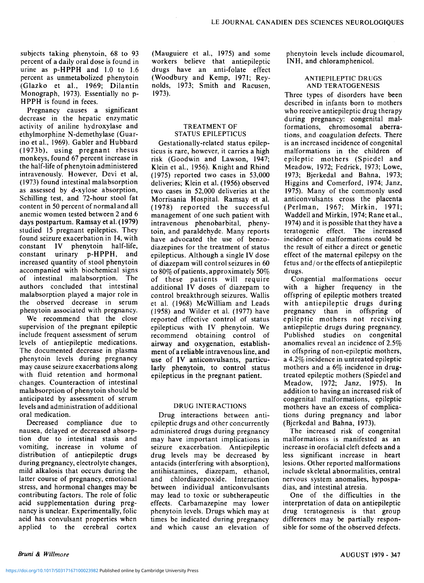subjects taking phenytoin, 68 to 93 percent of a daily oral dose is found in urine as p-HPPH and 1.0 to 1.6 percent as unmetabolized phenytoin (Glazko et al., 1969; Dilantin Monograph, 1973). Essentially no p-HPPH is found in feces.

Pregnancy causes a significant decrease in the hepatic enzymatic activity of aniline hydroxylase and ethylmorphine N-demethylase (Guarino et al., 1969). Gabler and Hubbard (1973b), using pregnant rhesus monkeys, found 67 percent increase in the half-life of phenytoin administered intravenously. However, Devi et al, (1973) found intestinal malabsorption as assessed by d-xylose absorption, Schilling test, and 72-hour stool fat content in 50 percent of normal and all anemic women tested between 2 and 6 days postpartum. Ramsay et al. (1979) studied 15 pregnant epileptics. They found seizure exacerbation in 14, with constant IV phenytoin half-life, constant urinary p-HPPH, and increased quantity of stool phenytoin accompanied with biochemical signs of intestinal malabsorption. The authors concluded that intestinal malabsorption played a major role in the observed decrease in serum phenytoin associated with pregnancy.

We recommend that the close supervision of the pregnant epileptic include frequent assessment of serum levels of antiepileptic medications. The documented decrease in plasma phenytoin levels during pregnancy may cause seizure exacerbations along with fluid retention and hormonal changes. Counteraction of intestinal malabsorption of phenytoin should be anticipated by assessment of serum levels and administration of additional oral medication.

Decreased compliance due to nausea, delayed or decreased absorption due to intestinal stasis and vomiting, increase in volume of distribution of antiepileptic drugs during pregnancy, electrolyte changes, mild alkalosis that occurs during the latter course of pregnancy, emotional stress, and hormonal changes may be contributing factors. The role of folic acid supplementation during pregnancy is unclear. Experimentally, folic acid has convulsant properties when applied to the cerebral cortex

(Mauguiere et al., 1975) and some workers believe that antiepileptic drugs have an anti-folate effect (Woodbury and Kemp, 1971; Reynolds, 1973; Smith and Racusen, 1973).

### TREATMENT OF STATUS EPILEPTICUS

Gestationally-related status epilepticus is rare, however, it carries a high risk (Goodwin and Lawson, 1947; Klein et al., 1956). Knight and Rhind (1975) reported two cases in 53,000 deliveries; Klein et al. (1956) observed two cases in 52,000 deliveries at the Morrisania Hospital. Ramsay et al. (1978) reported the successful management of one such patient with intravenous phenobarbital, phenytoin, and paraldehyde. Many reports have advocated the use of benzodiazepines for the treatment of status epilepticus. Although a single IV dose of diazepam will control seizures in 60 to 80% of patients, approximately 50% of these patients will require additional IV doses of diazepam to control breakthrough seizures. Wallis et al. (1968) McWilliam and Leads (1958) and Wilder et al. (1977) have reported effective control of status epilepticus with IV phenytoin. We recommend obtaining control of airway and oxygenation, establishment of a reliable intravenous line, and use of IV anticonvulsants, particularly phenytoin, to control status epilepticus in the pregnant patient.

#### DRUG INTERACTIONS

Drug interactions between antiepileptic drugs and other concurrently administered drugs during pregnancy may have important implications in seizure exacerbation. Antiepileptic drug levels may be decreased by antacids (interfering with absorption), antihistamines, diazepam, ethanol, and chlordiazepoxide. Interaction between individual anticonvulsants may lead to toxic or subtherapeutic effects. Carbamazepine may lower phenytoin levels. Drugs which may at times be indicated during pregnancy and which cause an elevation of

phenytoin levels include dicoumarol, INH, and chloramphenicol.

#### ANTIEPILEPTIC DRUGS AND TERATOGENESIS

Three types of disorders have been described in infants born to mothers who receive antiepileptic drug therapy during pregnancy: congenital malformations, chromosomal aberrations, and coagulation defects. There is an increased incidence of congenital malformations in the children of epileptic mothers (Spiedel and Meadow, 1972; Fedrick, 1973; Lowe, 1973; Bjerkedal and Bahna, 1973; Higgins and Comerford, 1974; Janz, 1975). Many of the commonly used anticonvulsants cross the placenta (Perlman, 1967; Mirkin, 1971; Waddell and Mirkin, 1974; Rane et al., 1974) and it is possible that they have a teratogenic effect. The increased incidence of malformations could be the result of either a direct or genetic effect of the maternal epilepsy on the fetus and/or the effects of antiepileptic drugs.

Congential malformations occur with a higher frequency in the offspring of epileptic mothers treated with antiepileptic drugs during pregnancy than in offspring of epileptic mothers not receiving antiepileptic drugs during pregnancy. Published studies on congenital anomalies reveal an incidence of 2.5% in offspring of non-epileptic mothers, a 4.2% incidence in untreated epileptic mothers and a 6% incidence in drugtreated epileptic mothers (Spiedel and Meadow, 1972; Janz, 1975). In addition to having an increased risk of congenital malformations, epileptic mothers have an excess of complications during pregnancy and labor (Bjerkedal and Bahna, 1973).

The increased risk of congenital malformations is manifested as an increase in orofacial cleft defects and a less significant increase in heart lesions. Other reported malformations include skeletal abnormalities, central nervous system anomalies, hypospadias, and intestinal atresia.

One of the difficulties in the interpretation of data on antiepileptic drug teratogenesis is that group differences may be partially responsible for some of the observed defects.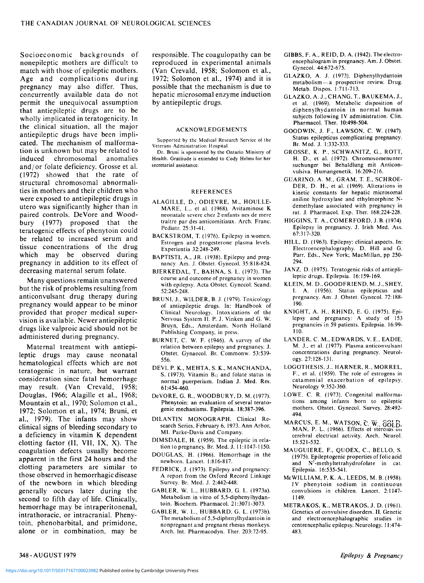Socioeconomic backgrounds of nonepileptic mothers are difficult to match with those of epileptic mothers. Age and complications during pregnancy may also differ. Thus, concurrently available data do not permit the unequivocal assumption that antiepileptic drugs are to be wholly implicated in teratogenicity. In the clinical situation, all the major antiepileptic drugs have been implicated. The mechanism of malformation is unknown but may be related to induced chromosomal anomalies and/or folate deficiency. Grosse et al. (1972) showed that the rate of structural chromosomal abnormalities in mothers and their children who were exposed to antiepileptic drugs in utero was significantly higher than in paired controls. DeVore and Woodbury (1977) proposed that the teratogenic effects of phenytoin could be related to increased serum and tissue concentrations of the drug which may be observed during pregnancy in addition to its effect of decreasing maternal serum folate.

Many questions remain unanswered but the risk of problems resulting from anticonvulsant drug therapy during pregnancy would appear to be minor provided that proper medical supervision is available. Newer antiepileptic drugs like valproic acid should not be administered during pregnancy.

Maternal treatment with antiepileptic drugs may cause neonatal hematological effects which are not teratogenic in nature, but warrant consideration since fatal hemorrhage may result. (Van Crevald, 1958; Douglas, 1966; Alagille et al., 1968; Mountain et al., 1970; Solomon et al., 1972; Solomon et al., 1974; Bruni, et al., 1979). The infants may show clinical signs of bleeding secondary to a deficiency in vitamin K dependent clotting factor (II, VII, IX, X). The coagulation defects usually become apparent in the first 24 hours and the clotting parameters are similar to those observed in hemorrhagic disease of the newborn in which bleeding generally occurs later during the second to fifth day of life. Clinically, hemorrhage may be intraperitonenal, intrathoracic, or intracranial. Phenytoin, phenobarbital, and primidone, alone or in combination, may be

responsible. The coagulopathy can be reproduced in experimental animals (Van Crevald, 1958; Solomon et al., 1972; Solomon et al., 1974) and it is possible that the mechanism is due to hepatic microsomal enzyme induction by antiepileptic drugs.

#### ACKNOWLEDGEMENTS

Supported by the Medical Research Service of the Veterans Administration Hospital.

Dr. Bruni is sponsored by the Ontario Ministry of Health. Gratitude is extended to Cody Helms for her secretarial assistance.

#### REFERENCES

- ALAGILLE, D., ODIEVRE, M., HOULLE-MARE, L., et al. (1968). Avitaminose K neonatale severe chez 2 enfants nes de mere traitre par des anticomitiaux. Arch. Franc. Pediatr. 25:31-41.
- BACKSTROM, T. (1976). Epilepsy in women. Estrogen and progesterone plasma levels. Experientia 32:248-249.
- BAPTISTI, A., JR. (1938). Epilepsy and pregnancy. Am. J. Obstet. Gynecol. 35:818-824.
- BJERKEDAL, T., BAHNA, S. L. (1973). The course and outcome of pregnancy in women with epilepsy. Acta Obstet. Gynecol. Scand. 52:245-248.
- BRUNI, J., WILDER, B. J. (1979). Toxicology of antiepileptic drugs. In: Handbook of Clinical Neurology, Intoxications of the Nervous System II. P. J. Vinken and G. W. Bruyn, Eds., Amsterdam, North Holland Publishing Company, in press.
- BURNET, C. W. F. (1946). A survey of the relation between epilepsy and pregnancy. J. Obstet. Gynaecol. Br. Commonw. 53:539- 556.
- DEVI, P. K., MEHTA, S. K., MANCHANDA, S. (1973). Vitamin  $B_{12}$  and folate status in normal puerperium. Indian J. Med. Res. 61:454-460.
- DeVORE, G. R., WOODBURY, D. M. (1977). Phenytoin: an evaluation of several teratogenic mechanisms. Epilepsia. 18:387-396.
- DILANTIN MONOGRAPH. Clinical Research Series, February 6, 1973. Ann Arbor, MI. Parke-Davis and Company.
- DIMSDALE, H. (1959). The epileptic in relation to pregnancy. Br. Med. J. 11:1147-1150.
- DOUGLAS, H. (1966). Hemorrhage in the newborn. Lancet. 1:816-817.
- FEDRICK, J. (1973). Epilepsy and pregnancy: A report from the Oxford Record Linkage Survey. Br. Med. J. 2:442-448.
- GABLER, W. L., HUBBARD, G. L. (1973a). Metabolism in vitro of 5,5-diphenylhydantoin. Biochem. Pharmacol. 21:3071-3073.
- GABLER, W. L., HUBBARD, G. L. (1973b). The metabolism of 5,5-diphenylhydantoin in nonpregnant and pregnant rhesus monkeys. Arch. Int. Pharmacodyn. Ther. 203:72-95.
- GIBBS, F. A., REID, D. A. (1942). The electroencephalogram in pregnancy. Am. J. Obstet. Gynecol. 44:672-675.
- GLAZKO, A. J. (1973). Diphenylhydantoin metabolism — a prospective review. Drug. Metab. Dispos. 1:711-713.
- GLAZKO, A. J., CHANG, T., BAUKEMA, J., et al. (1969). Metabolic disposition of diphenylhydantoin in normal human subjects following IV administration. Clin. Pharmacol. Ther. 10:498-504.
- GOODWIN, J. F., LAWSON, C. W. (1947). Status epilepticus complicating pregnancy. Br. Med. J. 1:332-333.
- GROSSE, K. P., SCHWANITZ, G., ROTT, H. D., et al. (1972). Chromosomenunter suchunger bei Behaldlung mit Anticonvulsiva. Humangenetik. 16:209-216.
- GUARINO, A. M., GRAM, T. E., SCHROE-DER, D. H., et al. (1969). Alterations in kinetic constants for hepatic microsomal aniline hydroxylase and ethylmorphine Ndemethylase associated with pregnancy in rat. J. Pharmacol. Exp. Ther. 168:224-228.
- HIGGINS, T. A., COMERFORD, J. B. (1974). Epilepsy in pregnancy. J. Irish Med. Ass. 67:317-320.
- HILL, D. (1963). Epilepsy: clinical aspects. In: Electroencephalography. D. Hill and G. Parr, Eds., New York; MacMillan, pp 250- 294.
- JANZ, D. (1975). Teratogenic risks of antieplileptic drugs. Epilepsia. 16:159-169.
- KLEIN, M. D., GOODFRIEND, M. J., SHEY, I. A. (1956). Status epilepticus and pregnancy. Am. J. Obstet. Gynecol. 72:188- 190.
- KNIGHT, A. H., RHIND, E. G. (1975). Epilepsy and pregnancy: A study of 153 pregnancies in 59 patients. Epilepsia. 16:99- 110.
- LANDER, C. M., EDWARDS, V. E., EADIE, M. J., et al. (1977). Plasma anticonvulsant concentrations during pregnancy. Neurology. 27:128-131.
- LOGOTHESIS, J., HARNER, R., MORREL, F., et al. (1959). The role of estrogens in catamenial exacerbation of epilepsy. Neurology 9:352-360.
- LOWE, C. R. (1973). Congenital malformations among infants born to epileptic mothers. Obstet. Gynecol. Survey. 28:492- 494.
- MARCUS, E. M., WATSON, C. W., GOLD. MAN, P. L. (1966). Effects of steroias cerebral electrical activity. Arch. Neurol. 15:521-532.
- MAUGUIERE, F., QUOEX, C, BELLO, S. (1975). Epileptogenic properties of folicacid and N<sup>5</sup>-methyltetrahydrofolate in cat. Epilepsia. 16:535-541.
- McWILLIAM, P. K. A., LEEDS, M. B. (1958). IV phenytoin sodium in continuous convulsions in children. Lancet. 2:1147- 1149.
- METRAKOS, K., METRAKOS, J. D. (1961). Genetics of convulsive disorders. II. Genetic and electroencephalographic studies in centrencephalic epilepsy. Neurology. 11:474- 483.